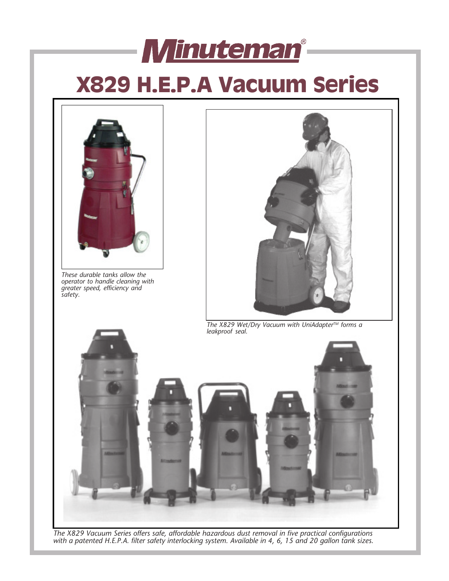# **X829 H.E.P.A Vacuum Series**

Minuteman<sup>®</sup>



*The X829 Vacuum Series offers safe, affordable hazardous dust removal in five practical configurations with a patented H.E.P.A. filter safety interlocking system. Available in 4, 6, 15 and 20 gallon tank sizes.*